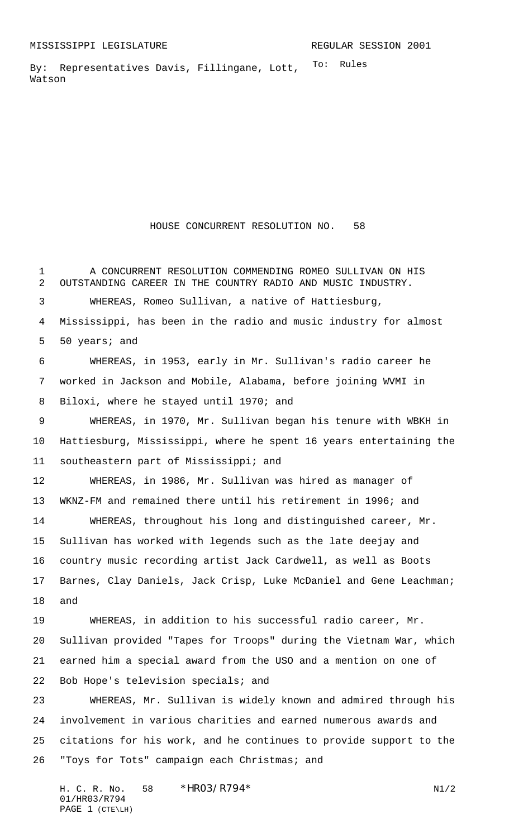To: Rules By: Representatives Davis, Fillingane, Lott, Watson

HOUSE CONCURRENT RESOLUTION NO. 58

 A CONCURRENT RESOLUTION COMMENDING ROMEO SULLIVAN ON HIS OUTSTANDING CAREER IN THE COUNTRY RADIO AND MUSIC INDUSTRY. WHEREAS, Romeo Sullivan, a native of Hattiesburg, Mississippi, has been in the radio and music industry for almost 50 years; and WHEREAS, in 1953, early in Mr. Sullivan's radio career he worked in Jackson and Mobile, Alabama, before joining WVMI in Biloxi, where he stayed until 1970; and WHEREAS, in 1970, Mr. Sullivan began his tenure with WBKH in Hattiesburg, Mississippi, where he spent 16 years entertaining the southeastern part of Mississippi; and WHEREAS, in 1986, Mr. Sullivan was hired as manager of WKNZ-FM and remained there until his retirement in 1996; and WHEREAS, throughout his long and distinguished career, Mr. Sullivan has worked with legends such as the late deejay and country music recording artist Jack Cardwell, as well as Boots Barnes, Clay Daniels, Jack Crisp, Luke McDaniel and Gene Leachman; and WHEREAS, in addition to his successful radio career, Mr. Sullivan provided "Tapes for Troops" during the Vietnam War, which earned him a special award from the USO and a mention on one of Bob Hope's television specials; and WHEREAS, Mr. Sullivan is widely known and admired through his involvement in various charities and earned numerous awards and citations for his work, and he continues to provide support to the

"Toys for Tots" campaign each Christmas; and

H. C. R. No. 58  $*HRO3/R794*$  N1/2 01/HR03/R794 PAGE 1 (CTE\LH)